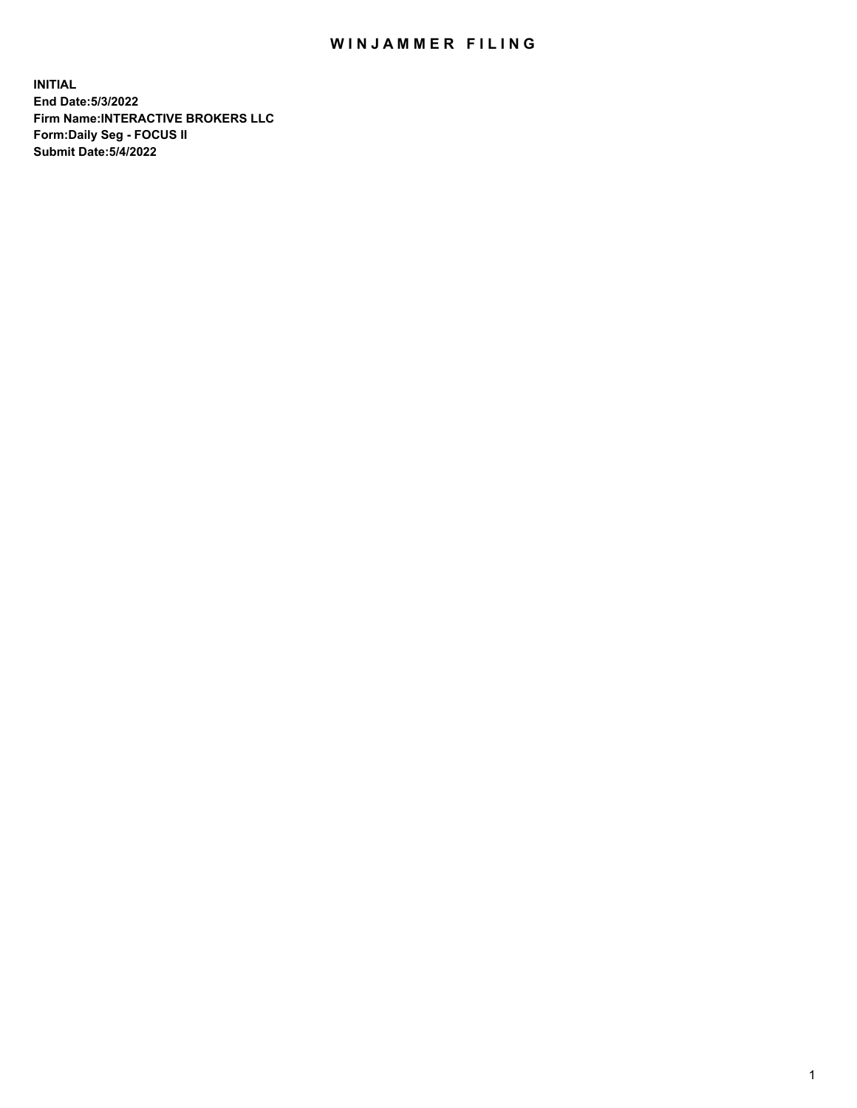## WIN JAMMER FILING

**INITIAL End Date:5/3/2022 Firm Name:INTERACTIVE BROKERS LLC Form:Daily Seg - FOCUS II Submit Date:5/4/2022**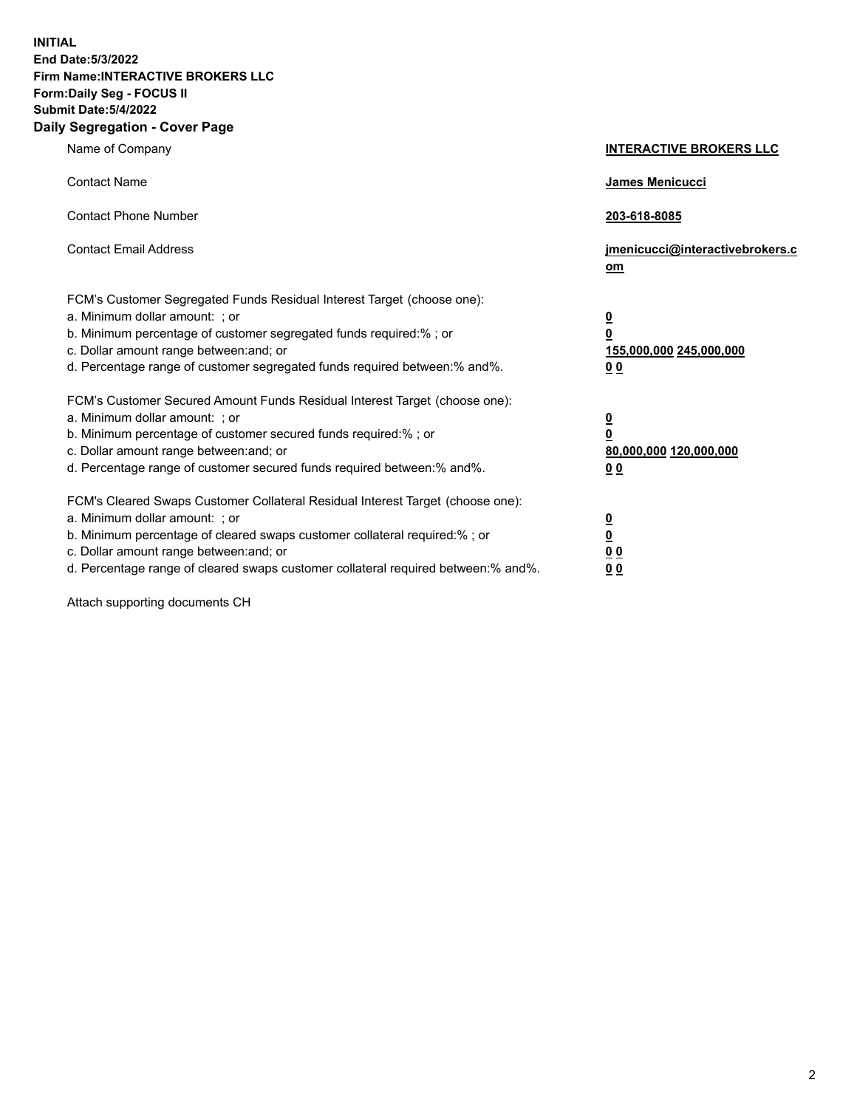**INITIAL End Date:5/3/2022 Firm Name:INTERACTIVE BROKERS LLC Form:Daily Seg - FOCUS II Submit Date:5/4/2022 Daily Segregation - Cover Page**

| Name of Company                                                                                                                                                                                                                                                                                                                | <b>INTERACTIVE BROKERS LLC</b>                                                                 |
|--------------------------------------------------------------------------------------------------------------------------------------------------------------------------------------------------------------------------------------------------------------------------------------------------------------------------------|------------------------------------------------------------------------------------------------|
| <b>Contact Name</b>                                                                                                                                                                                                                                                                                                            | James Menicucci                                                                                |
| <b>Contact Phone Number</b>                                                                                                                                                                                                                                                                                                    | 203-618-8085                                                                                   |
| <b>Contact Email Address</b>                                                                                                                                                                                                                                                                                                   | jmenicucci@interactivebrokers.c<br>om                                                          |
| FCM's Customer Segregated Funds Residual Interest Target (choose one):<br>a. Minimum dollar amount: ; or<br>b. Minimum percentage of customer segregated funds required:% ; or<br>c. Dollar amount range between: and; or<br>d. Percentage range of customer segregated funds required between:% and%.                         | $\overline{\mathbf{0}}$<br>$\overline{\mathbf{0}}$<br>155,000,000 245,000,000<br>00            |
| FCM's Customer Secured Amount Funds Residual Interest Target (choose one):<br>a. Minimum dollar amount: ; or<br>b. Minimum percentage of customer secured funds required:%; or<br>c. Dollar amount range between: and; or<br>d. Percentage range of customer secured funds required between:% and%.                            | $\overline{\mathbf{0}}$<br>$\overline{\mathbf{0}}$<br>80,000,000 120,000,000<br>0 <sub>0</sub> |
| FCM's Cleared Swaps Customer Collateral Residual Interest Target (choose one):<br>a. Minimum dollar amount: ; or<br>b. Minimum percentage of cleared swaps customer collateral required:% ; or<br>c. Dollar amount range between: and; or<br>d. Percentage range of cleared swaps customer collateral required between:% and%. | $\overline{\mathbf{0}}$<br>$\underline{\mathbf{0}}$<br>0 <sub>0</sub><br>0 <sub>0</sub>        |

Attach supporting documents CH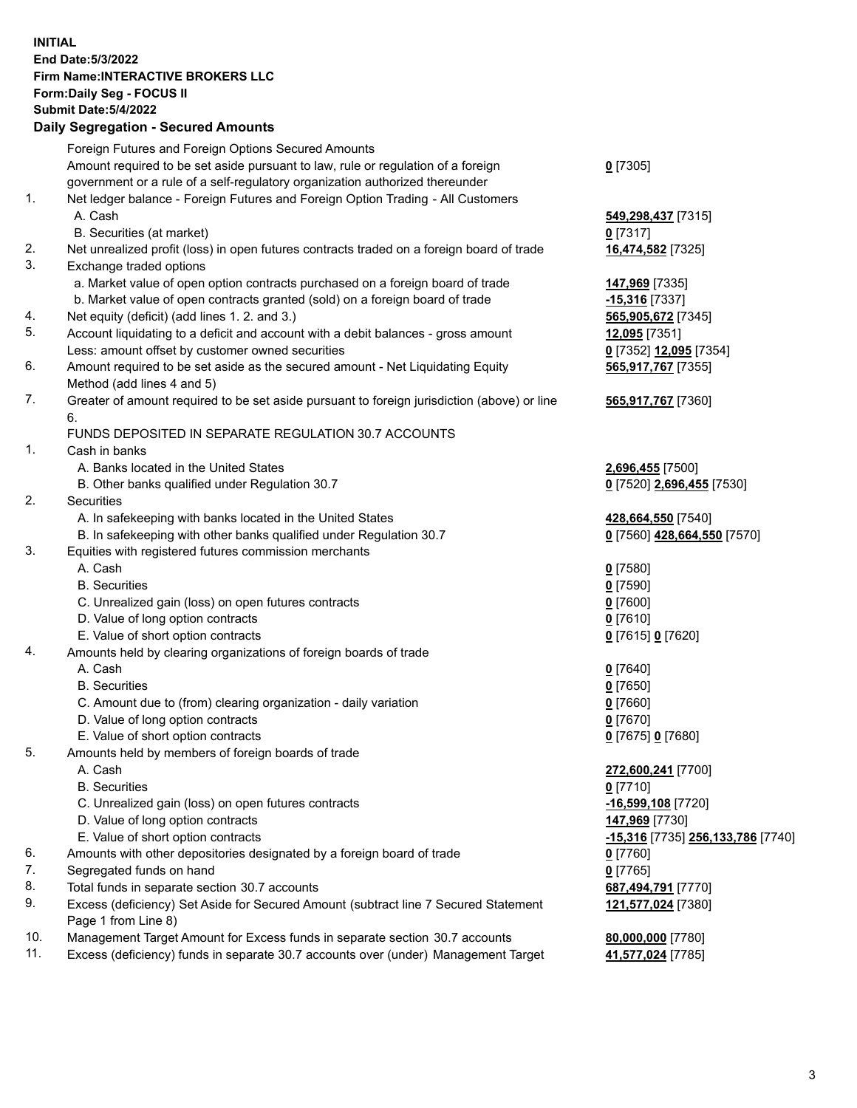**INITIAL End Date:5/3/2022 Firm Name:INTERACTIVE BROKERS LLC Form:Daily Seg - FOCUS II Submit Date:5/4/2022 Daily Segregation - Secured Amounts**

|     | Foreign Futures and Foreign Options Secured Amounts                                         |                                          |
|-----|---------------------------------------------------------------------------------------------|------------------------------------------|
|     | Amount required to be set aside pursuant to law, rule or regulation of a foreign            | $0$ [7305]                               |
|     | government or a rule of a self-regulatory organization authorized thereunder                |                                          |
| 1.  | Net ledger balance - Foreign Futures and Foreign Option Trading - All Customers             |                                          |
|     | A. Cash                                                                                     | 549,298,437 [7315]                       |
|     | B. Securities (at market)                                                                   | $0$ [7317]                               |
| 2.  | Net unrealized profit (loss) in open futures contracts traded on a foreign board of trade   | 16,474,582 [7325]                        |
| 3.  | Exchange traded options                                                                     |                                          |
|     | a. Market value of open option contracts purchased on a foreign board of trade              | 147,969 [7335]                           |
|     | b. Market value of open contracts granted (sold) on a foreign board of trade                | $-15,316$ [7337]                         |
| 4.  | Net equity (deficit) (add lines 1. 2. and 3.)                                               | 565,905,672 [7345]                       |
| 5.  | Account liquidating to a deficit and account with a debit balances - gross amount           | 12,095 [7351]                            |
|     | Less: amount offset by customer owned securities                                            | 0 [7352] 12,095 [7354]                   |
| 6.  | Amount required to be set aside as the secured amount - Net Liquidating Equity              | 565,917,767 [7355]                       |
|     | Method (add lines 4 and 5)                                                                  |                                          |
| 7.  | Greater of amount required to be set aside pursuant to foreign jurisdiction (above) or line | 565,917,767 [7360]                       |
|     | 6.                                                                                          |                                          |
|     | FUNDS DEPOSITED IN SEPARATE REGULATION 30.7 ACCOUNTS                                        |                                          |
| 1.  | Cash in banks                                                                               |                                          |
|     | A. Banks located in the United States                                                       | 2,696,455 [7500]                         |
|     | B. Other banks qualified under Regulation 30.7                                              | 0 [7520] 2,696,455 [7530]                |
| 2.  | Securities                                                                                  |                                          |
|     | A. In safekeeping with banks located in the United States                                   | 428,664,550 [7540]                       |
|     | B. In safekeeping with other banks qualified under Regulation 30.7                          | 0 [7560] 428,664,550 [7570]              |
| 3.  | Equities with registered futures commission merchants                                       |                                          |
|     | A. Cash                                                                                     | $0$ [7580]                               |
|     | <b>B.</b> Securities                                                                        | $0$ [7590]                               |
|     | C. Unrealized gain (loss) on open futures contracts                                         | $0$ [7600]                               |
|     | D. Value of long option contracts                                                           | $0$ [7610]                               |
|     | E. Value of short option contracts                                                          | 0 [7615] 0 [7620]                        |
| 4.  | Amounts held by clearing organizations of foreign boards of trade                           |                                          |
|     | A. Cash                                                                                     | $0$ [7640]                               |
|     | <b>B.</b> Securities                                                                        | $0$ [7650]                               |
|     | C. Amount due to (from) clearing organization - daily variation                             | $0$ [7660]                               |
|     | D. Value of long option contracts                                                           | $0$ [7670]                               |
|     | E. Value of short option contracts                                                          | 0 [7675] 0 [7680]                        |
| 5.  | Amounts held by members of foreign boards of trade                                          |                                          |
|     | A. Cash                                                                                     | 272,600,241 [7700]                       |
|     | <b>B.</b> Securities                                                                        | $0$ [7710]                               |
|     | C. Unrealized gain (loss) on open futures contracts                                         | -16,599,108 [7720]                       |
|     | D. Value of long option contracts                                                           | 147,969 [7730]                           |
|     | E. Value of short option contracts                                                          |                                          |
| 6.  |                                                                                             | <u>-15,316</u> [7735] 256,133,786 [7740] |
|     | Amounts with other depositories designated by a foreign board of trade                      | $0$ [7760]                               |
| 7.  | Segregated funds on hand                                                                    | $0$ [7765]                               |
| 8.  | Total funds in separate section 30.7 accounts                                               | 687,494,791 [7770]                       |
| 9.  | Excess (deficiency) Set Aside for Secured Amount (subtract line 7 Secured Statement         | 121,577,024 [7380]                       |
|     | Page 1 from Line 8)                                                                         |                                          |
| 10. | Management Target Amount for Excess funds in separate section 30.7 accounts                 | 80,000,000 [7780]                        |
| 11. | Excess (deficiency) funds in separate 30.7 accounts over (under) Management Target          | 41,577,024 [7785]                        |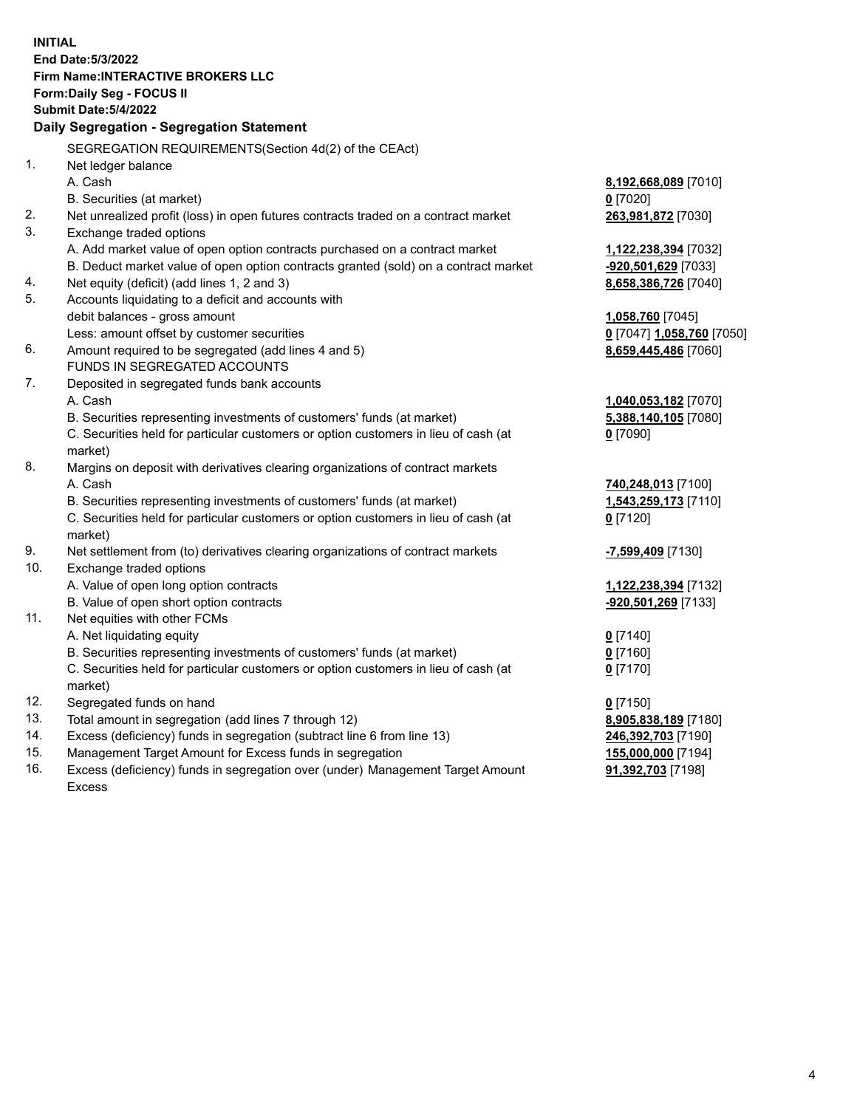**INITIAL End Date:5/3/2022 Firm Name:INTERACTIVE BROKERS LLC Form:Daily Seg - FOCUS II Submit Date:5/4/2022 Daily Segregation - Segregation Statement** SEGREGATION REQUIREMENTS(Section 4d(2) of the CEAct) 1. Net ledger balance A. Cash **8,192,668,089** [7010] B. Securities (at market) **0** [7020] 2. Net unrealized profit (loss) in open futures contracts traded on a contract market **263,981,872** [7030] 3. Exchange traded options A. Add market value of open option contracts purchased on a contract market **1,122,238,394** [7032] B. Deduct market value of open option contracts granted (sold) on a contract market **-920,501,629** [7033] 4. Net equity (deficit) (add lines 1, 2 and 3) **8,658,386,726** [7040] 5. Accounts liquidating to a deficit and accounts with debit balances - gross amount **1,058,760** [7045] Less: amount offset by customer securities **0** [7047] **1,058,760** [7050] 6. Amount required to be segregated (add lines 4 and 5) **8,659,445,486** [7060] FUNDS IN SEGREGATED ACCOUNTS 7. Deposited in segregated funds bank accounts A. Cash **1,040,053,182** [7070] B. Securities representing investments of customers' funds (at market) **5,388,140,105** [7080] C. Securities held for particular customers or option customers in lieu of cash (at market) **0** [7090] 8. Margins on deposit with derivatives clearing organizations of contract markets A. Cash **740,248,013** [7100] B. Securities representing investments of customers' funds (at market) **1,543,259,173** [7110] C. Securities held for particular customers or option customers in lieu of cash (at market) **0** [7120] 9. Net settlement from (to) derivatives clearing organizations of contract markets **-7,599,409** [7130] 10. Exchange traded options A. Value of open long option contracts **1,122,238,394** [7132] B. Value of open short option contracts **-920,501,269** [7133] 11. Net equities with other FCMs A. Net liquidating equity **0** [7140] B. Securities representing investments of customers' funds (at market) **0** [7160] C. Securities held for particular customers or option customers in lieu of cash (at market) **0** [7170] 12. Segregated funds on hand **0** [7150] 13. Total amount in segregation (add lines 7 through 12) **8,905,838,189** [7180] 14. Excess (deficiency) funds in segregation (subtract line 6 from line 13) **246,392,703** [7190] 15. Management Target Amount for Excess funds in segregation **155,000,000** [7194] 16. Excess (deficiency) funds in segregation over (under) Management Target Amount **91,392,703** [7198]

Excess